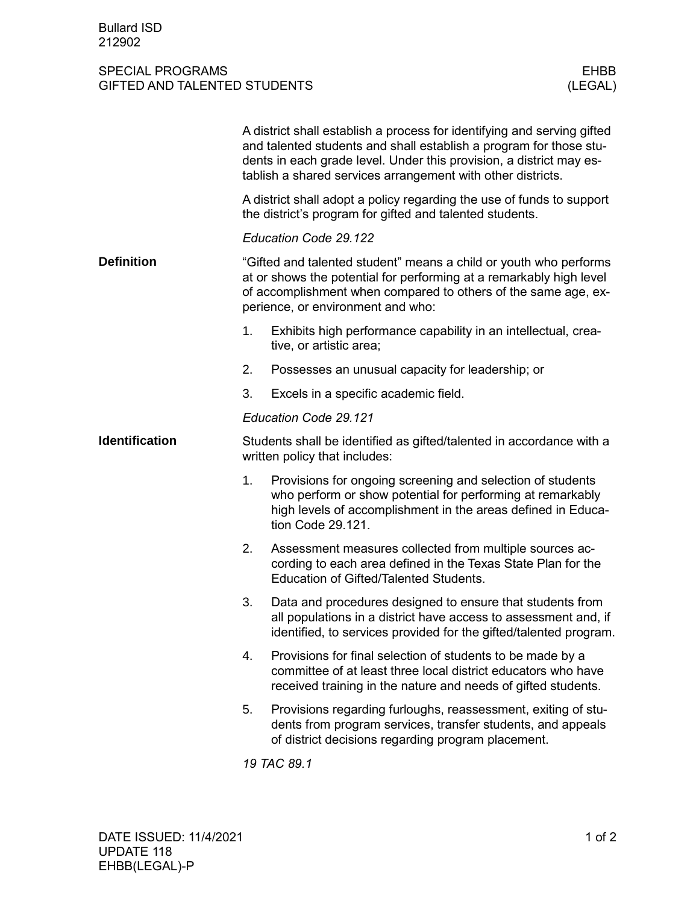## SPECIAL PROGRAMS<br>
GIFTED AND TALENTED STUDENTS (LEGAL) GIFTED AND TALENTED STUDENTS

|                       | A district shall establish a process for identifying and serving gifted<br>and talented students and shall establish a program for those stu-<br>dents in each grade level. Under this provision, a district may es-<br>tablish a shared services arrangement with other districts. |                                                                                                                                                                                                               |  |
|-----------------------|-------------------------------------------------------------------------------------------------------------------------------------------------------------------------------------------------------------------------------------------------------------------------------------|---------------------------------------------------------------------------------------------------------------------------------------------------------------------------------------------------------------|--|
|                       | A district shall adopt a policy regarding the use of funds to support<br>the district's program for gifted and talented students.                                                                                                                                                   |                                                                                                                                                                                                               |  |
|                       | Education Code 29.122                                                                                                                                                                                                                                                               |                                                                                                                                                                                                               |  |
| <b>Definition</b>     | "Gifted and talented student" means a child or youth who performs<br>at or shows the potential for performing at a remarkably high level<br>of accomplishment when compared to others of the same age, ex-<br>perience, or environment and who:                                     |                                                                                                                                                                                                               |  |
|                       | 1.                                                                                                                                                                                                                                                                                  | Exhibits high performance capability in an intellectual, crea-<br>tive, or artistic area;                                                                                                                     |  |
|                       | 2.                                                                                                                                                                                                                                                                                  | Possesses an unusual capacity for leadership; or                                                                                                                                                              |  |
|                       | 3.                                                                                                                                                                                                                                                                                  | Excels in a specific academic field.                                                                                                                                                                          |  |
|                       | Education Code 29.121                                                                                                                                                                                                                                                               |                                                                                                                                                                                                               |  |
| <b>Identification</b> | Students shall be identified as gifted/talented in accordance with a<br>written policy that includes:                                                                                                                                                                               |                                                                                                                                                                                                               |  |
|                       | 1.                                                                                                                                                                                                                                                                                  | Provisions for ongoing screening and selection of students<br>who perform or show potential for performing at remarkably<br>high levels of accomplishment in the areas defined in Educa-<br>tion Code 29.121. |  |
|                       | 2.                                                                                                                                                                                                                                                                                  | Assessment measures collected from multiple sources ac-<br>cording to each area defined in the Texas State Plan for the<br>Education of Gifted/Talented Students.                                             |  |
|                       | 3.                                                                                                                                                                                                                                                                                  | Data and procedures designed to ensure that students from<br>all populations in a district have access to assessment and, if<br>identified, to services provided for the gifted/talented program.             |  |
|                       | 4.                                                                                                                                                                                                                                                                                  | Provisions for final selection of students to be made by a<br>committee of at least three local district educators who have<br>received training in the nature and needs of gifted students.                  |  |
|                       | 5.                                                                                                                                                                                                                                                                                  | Provisions regarding furloughs, reassessment, exiting of stu-<br>dents from program services, transfer students, and appeals<br>of district decisions regarding program placement.                            |  |
|                       | 19 TAC 89.1                                                                                                                                                                                                                                                                         |                                                                                                                                                                                                               |  |